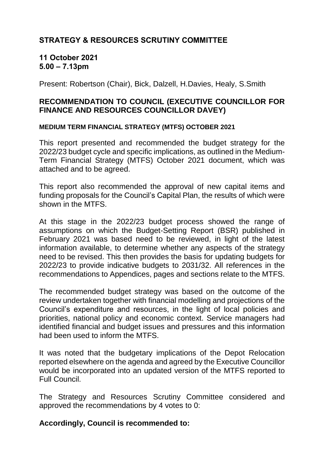# **STRATEGY & RESOURCES SCRUTINY COMMITTEE**

## **11 October 2021 5.00 – 7.13pm**

Present: Robertson (Chair), Bick, Dalzell, H.Davies, Healy, S.Smith

# **RECOMMENDATION TO COUNCIL (EXECUTIVE COUNCILLOR FOR FINANCE AND RESOURCES COUNCILLOR DAVEY)**

#### **MEDIUM TERM FINANCIAL STRATEGY (MTFS) OCTOBER 2021**

This report presented and recommended the budget strategy for the 2022/23 budget cycle and specific implications, as outlined in the Medium-Term Financial Strategy (MTFS) October 2021 document, which was attached and to be agreed.

This report also recommended the approval of new capital items and funding proposals for the Council's Capital Plan, the results of which were shown in the MTFS.

At this stage in the 2022/23 budget process showed the range of assumptions on which the Budget-Setting Report (BSR) published in February 2021 was based need to be reviewed, in light of the latest information available, to determine whether any aspects of the strategy need to be revised. This then provides the basis for updating budgets for 2022/23 to provide indicative budgets to 2031/32. All references in the recommendations to Appendices, pages and sections relate to the MTFS.

The recommended budget strategy was based on the outcome of the review undertaken together with financial modelling and projections of the Council's expenditure and resources, in the light of local policies and priorities, national policy and economic context. Service managers had identified financial and budget issues and pressures and this information had been used to inform the MTFS.

It was noted that the budgetary implications of the Depot Relocation reported elsewhere on the agenda and agreed by the Executive Councillor would be incorporated into an updated version of the MTFS reported to Full Council.

The Strategy and Resources Scrutiny Committee considered and approved the recommendations by 4 votes to 0:

## **Accordingly, Council is recommended to:**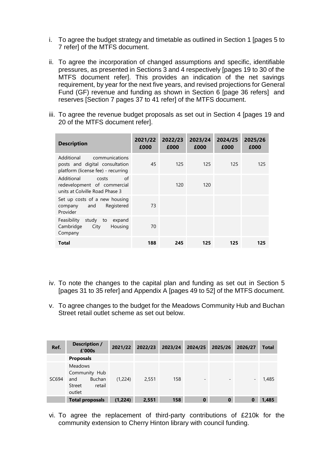- i. To agree the budget strategy and timetable as outlined in Section 1 [pages 5 to 7 refer] of the MTFS document.
- ii. To agree the incorporation of changed assumptions and specific, identifiable pressures, as presented in Sections 3 and 4 respectively [pages 19 to 30 of the MTFS document refer]. This provides an indication of the net savings requirement, by year for the next five years, and revised projections for General Fund (GF) revenue and funding as shown in Section 6 [page 36 refers] and reserves [Section 7 pages 37 to 41 refer] of the MTFS document.
- iii. To agree the revenue budget proposals as set out in Section 4 [pages 19 and 20 of the MTFS document refer].

| <b>Description</b>                                                                                   | 2021/22<br>£000 | 2022/23<br>£000 | 2023/24<br>£000 | 2024/25<br>£000 | 2025/26<br>£000 |
|------------------------------------------------------------------------------------------------------|-----------------|-----------------|-----------------|-----------------|-----------------|
| Additional<br>communications<br>posts and digital consultation<br>platform (license fee) - recurring | 45              | 125             | 125             | 125             | 125             |
| Additional<br>of<br>costs<br>redevelopment of commercial<br>units at Colville Road Phase 3           |                 | 120             | 120             |                 |                 |
| Set up costs of a new housing<br>Registered<br>and<br>company<br>Provider                            | 73              |                 |                 |                 |                 |
| Feasibility<br>study to<br>expand<br>Cambridge<br>City<br>Housing<br>Company                         | 70              |                 |                 |                 |                 |
| Total                                                                                                | 188             | 245             | 125             | 125             | 125             |

- iv. To note the changes to the capital plan and funding as set out in Section 5 [pages 31 to 35 refer] and Appendix A [pages 49 to 52] of the MTFS document.
- v. To agree changes to the budget for the Meadows Community Hub and Buchan Street retail outlet scheme as set out below.

| Ref.  | Description /<br>£'000s                                                               | 2021/22 | 2022/23 | 2023/24 | 2024/25                  | 2025/26  | 2026/27                  | <b>Total</b> |
|-------|---------------------------------------------------------------------------------------|---------|---------|---------|--------------------------|----------|--------------------------|--------------|
|       | <b>Proposals</b>                                                                      |         |         |         |                          |          |                          |              |
| SC694 | <b>Meadows</b><br>Community Hub<br><b>Buchan</b><br>and<br>retail<br>Street<br>outlet | (1,224) | 2,551   | 158     | $\overline{\phantom{a}}$ | -        | $\overline{\phantom{a}}$ | 1,485        |
|       | <b>Total proposals</b>                                                                | (1,224) | 2,551   | 158     | $\bf{0}$                 | $\bf{0}$ | 0                        | 1,485        |

vi. To agree the replacement of third-party contributions of £210k for the community extension to Cherry Hinton library with council funding.